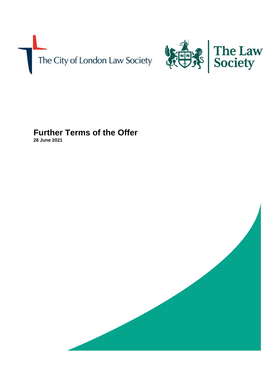



# **Further Terms of the Offer**

**28 June 2021**

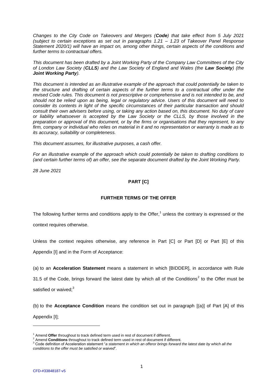*Changes to the City Code on Takeovers and Mergers (Code) that take effect from 5 July 2021 (subject to certain exceptions as set out in paragraphs 1.21 – 1.23 of Takeover Panel Response Statement 2020/1) will have an impact on, among other things, certain aspects of the conditions and further terms to contractual offers.* 

*This document has been drafted by a Joint Working Party of the Company Law Committees of the City of London Law Society (CLLS) and the Law Society of England and Wales (the Law Society) (the Joint Working Party).*

*This document is intended as an illustrative example of the approach that could potentially be taken to the structure and drafting of certain aspects of the further terms to a contractual offer under the revised Code rules. This document is not prescriptive or comprehensive and is not intended to be, and should not be relied upon as being, legal or regulatory advice. Users of this document will need to consider its contents in light of the specific circumstances of their particular transaction and should consult their own advisers before using, or taking any action based on, this document. No duty of care or liability whatsoever is accepted by the Law Society or the CLLS, by those involved in the preparation or approval of this document, or by the firms or organisations that they represent, to any firm, company or individual who relies on material in it and no representation or warranty is made as to its accuracy, suitability or completeness.*

*This document assumes, for illustrative purposes, a cash offer.*

For an illustrative example of the approach which could potentially be taken to drafting conditions to *(and certain further terms of) an offer, see the separate document drafted by the Joint Working Party.*

*28 June 2021*

# **PART [C]**

## **FURTHER TERMS OF THE OFFER**

The following further terms and conditions apply to the Offer,<sup>1</sup> unless the contrary is expressed or the context requires otherwise.

Unless the context requires otherwise, any reference in Part [C] or Part [D] or Part [E] of this Appendix [I] and in the Form of Acceptance:

(a) to an **Acceleration Statement** means a statement in which [BIDDER], in accordance with Rule

31.5 of the Code, brings forward the latest date by which all of the Conditions<sup>2</sup> to the Offer must be satisfied or waived; $3$ 

(b) to the **Acceptance Condition** means the condition set out in paragraph [(a)] of Part [A] of this Appendix [I];

<sup>&</sup>lt;sup>1</sup> Amend Offer throughout to track defined term used in rest of document if different.

<sup>&</sup>lt;sup>2</sup> Amend **Conditions** throughout to track defined term used in rest of document if different.

<sup>3</sup> Code definition of Acceleration statement "*a statement in which an offeror brings forward the latest date by which all the conditions to the offer must be satisfied or waived*".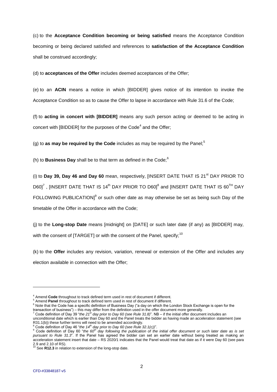(c) to the **Acceptance Condition becoming or being satisfied** means the Acceptance Condition becoming or being declared satisfied and references to **satisfaction of the Acceptance Condition** shall be construed accordingly;

(d) to **acceptances of the Offer** includes deemed acceptances of the Offer;

(e) to an **ACIN** means a notice in which [BIDDER] gives notice of its intention to invoke the Acceptance Condition so as to cause the Offer to lapse in accordance with Rule 31.6 of the Code;

(f) to **acting in concert with [BIDDER]** means any such person acting or deemed to be acting in concert with [BIDDER] for the purposes of the Code $^4$  and the Offer;

(g) to **as may be required by the Code** includes as may be required by the Panel;<sup>5</sup>

(h) to **Business Day** shall be to that term as defined in the Code;<sup>6</sup>

(i) to **Day 39, Day 46 and Day 60** mean, respectively, [INSERT DATE THAT IS 21<sup>st</sup> DAY PRIOR TO D60] $^7$  , [INSERT DATE THAT IS 14 $^{\rm th}$  DAY PRIOR TO D60] $^8$  and [INSERT DATE THAT IS 60 $^{\rm TH}$  DAY FOLLOWING PUBLICATION] $^9$  or such other date as may otherwise be set as being such Day of the timetable of the Offer in accordance with the Code;

(j) to the **Long-stop Date** means [midnight] on [DATE] or such later date (if any) as [BIDDER] may, with the consent of  $[TARGET]$  or with the consent of the Panel, specify;<sup>10</sup>

(k) to the **Offer** includes any revision, variation, renewal or extension of the Offer and includes any election available in connection with the Offer;

-

<sup>4</sup> Amend **Code** throughout to track defined term used in rest of document if different.

Amend Panel throughout to track defined term used in rest of document if different.

<sup>&</sup>lt;sup>6</sup> Note that the Code has a specific definition of Business Day ("a day on which the London Stock Exchange is open for the transaction of business") – this may differ from the definition used in the offer document more generally.

<sup>7</sup> Code definition of Day 39 "*the 21st day prior to Day 60 (see Rule 31.8)*". NB – if the initial offer document includes an

unconditional date which is earlier than Day 60 and the Panel treats the bidder as having made an acceleration statement (see R31.1(b)) these further terms will need to be amended accordingly.

<sup>8</sup> Code definition of Day 46 "*the 14th day prior to Day 60 (see Rule 32.1(c))*".

<sup>9</sup> Code definition of Day 60 "*the 60th day following the publication of the initial offer document or such later date as is set pursuant to Rule 31.3*". If the Panel has agreed the bidder can set an earlier date without being treated as making an acceleration statement insert that date – RS 2020/1 indicates that the Panel would treat that date as if it were Day 60 (see para 2.9 and 2.10 of RS).

See R12.3 in relation to extension of the long-stop date.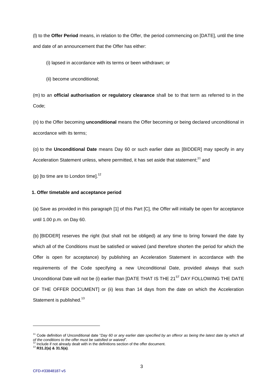(l) to the **Offer Period** means, in relation to the Offer, the period commencing on [DATE], until the time and date of an announcement that the Offer has either:

(i) lapsed in accordance with its terms or been withdrawn; or

(ii) become unconditional;

(m) to an **official authorisation or regulatory clearance** shall be to that term as referred to in the Code;

(n) to the Offer becoming **unconditional** means the Offer becoming or being declared unconditional in accordance with its terms;

(o) to the **Unconditional Date** means Day 60 or such earlier date as [BIDDER] may specify in any Acceleration Statement unless, where permitted, it has set aside that statement;<sup>11</sup> and

(p) [to time are to London time]. $^{12}$ 

# **1. Offer timetable and acceptance period**

(a) Save as provided in this paragraph [1] of this Part [C], the Offer will initially be open for acceptance until 1.00 p.m. on Day 60.

(b) [BIDDER] reserves the right (but shall not be obliged) at any time to bring forward the date by which all of the Conditions must be satisfied or waived (and therefore shorten the period for which the Offer is open for acceptance) by publishing an Acceleration Statement in accordance with the requirements of the Code specifying a new Unconditional Date, provided always that such Unconditional Date will not be (i) earlier than [DATE THAT IS THE 21<sup>ST</sup> DAY FOLLOWING THE DATE OF THE OFFER DOCUMENT] or (ii) less than 14 days from the date on which the Acceleration Statement is published.<sup>13</sup>

<sup>11</sup> Code definition of Unconditional date "*Day 60 or any earlier date specified by an offeror as being the latest date by which all of the community of original conditions to the offer must be satisfied or waived***".<br>
<sup>12</sup> lead into the offer must be satisfied or waived".** 

 $\frac{1}{2}$  Include if not already dealt with in the definitions section of the offer document.

<sup>13</sup> **R31.2(a) & 31.5(a)**.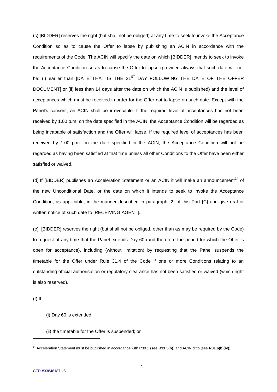(c) [BIDDER] reserves the right (but shall not be obliged) at any time to seek to invoke the Acceptance Condition so as to cause the Offer to lapse by publishing an ACIN in accordance with the requirements of the Code. The ACIN will specify the date on which [BIDDER] intends to seek to invoke the Acceptance Condition so as to cause the Offer to lapse (provided always that such date will not be: (i) earlier than [DATE THAT IS THE  $21^{ST}$  DAY FOLLOWING THE DATE OF THE OFFER DOCUMENT] or (ii) less than 14 days after the date on which the ACIN is published) and the level of acceptances which must be received in order for the Offer not to lapse on such date. Except with the Panel's consent, an ACIN shall be irrevocable. If the required level of acceptances has not been received by 1.00 p.m. on the date specified in the ACIN, the Acceptance Condition will be regarded as being incapable of satisfaction and the Offer will lapse. If the required level of acceptances has been received by 1.00 p.m. on the date specified in the ACIN, the Acceptance Condition will not be regarded as having been satisfied at that time unless all other Conditions to the Offer have been either satisfied or waived.

(d) If [BIDDER] publishes an Acceleration Statement or an ACIN it will make an announcement<sup>14</sup> of the new Unconditional Date, or the date on which it intends to seek to invoke the Acceptance Condition, as applicable, in the manner described in paragraph [2] of this Part [C] and give oral or written notice of such date to [RECEIVING AGENT].

(e) [BIDDER] reserves the right (but shall not be obliged, other than as may be required by the Code) to request at any time that the Panel extends Day 60 (and therefore the period for which the Offer is open for acceptance), including (without limitation) by requesting that the Panel suspends the timetable for the Offer under Rule 31.4 of the Code if one or more Conditions relating to an outstanding official authorisation or regulatory clearance has not been satisfied or waived (which right is also reserved).

(f) If:

l

## (i) Day 60 is extended;

(ii) the timetable for the Offer is suspended; or

<sup>14</sup> Acceleration Statement must be published in accordance with R30.1 (see **R31.5(h)**) and ACIN ditto (see **R31.6(b)(iv)**).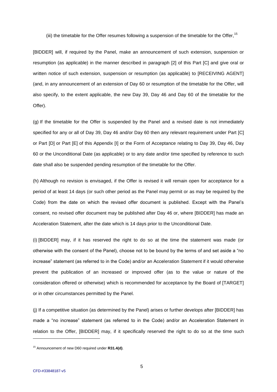(iii) the timetable for the Offer resumes following a suspension of the timetable for the Offer, <sup>15</sup>

[BIDDER] will, if required by the Panel, make an announcement of such extension, suspension or resumption (as applicable) in the manner described in paragraph [2] of this Part [C] and give oral or written notice of such extension, suspension or resumption (as applicable) to [RECEIVING AGENT] (and, in any announcement of an extension of Day 60 or resumption of the timetable for the Offer, will also specify, to the extent applicable, the new Day 39, Day 46 and Day 60 of the timetable for the Offer).

(g) If the timetable for the Offer is suspended by the Panel and a revised date is not immediately specified for any or all of Day 39, Day 46 and/or Day 60 then any relevant requirement under Part [C] or Part [D] or Part [E] of this Appendix [I] or the Form of Acceptance relating to Day 39, Day 46, Day 60 or the Unconditional Date (as applicable) or to any date and/or time specified by reference to such date shall also be suspended pending resumption of the timetable for the Offer.

(h) Although no revision is envisaged, if the Offer is revised it will remain open for acceptance for a period of at least 14 days (or such other period as the Panel may permit or as may be required by the Code) from the date on which the revised offer document is published. Except with the Panel's consent, no revised offer document may be published after Day 46 or, where [BIDDER] has made an Acceleration Statement, after the date which is 14 days prior to the Unconditional Date.

(i) [BIDDER] may, if it has reserved the right to do so at the time the statement was made (or otherwise with the consent of the Panel), choose not to be bound by the terms of and set aside a "no increase" statement (as referred to in the Code) and/or an Acceleration Statement if it would otherwise prevent the publication of an increased or improved offer (as to the value or nature of the consideration offered or otherwise) which is recommended for acceptance by the Board of [TARGET] or in other circumstances permitted by the Panel.

(j) If a competitive situation (as determined by the Panel) arises or further develops after [BIDDER] has made a "no increase" statement (as referred to in the Code) and/or an Acceleration Statement in relation to the Offer, [BIDDER] may, if it specifically reserved the right to do so at the time such

<sup>15</sup> Announcement of new D60 required under **R31.4(d)**.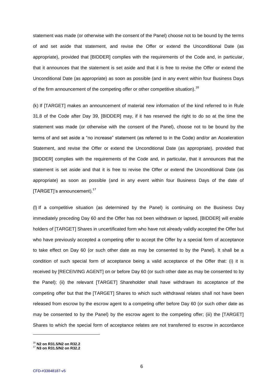statement was made (or otherwise with the consent of the Panel) choose not to be bound by the terms of and set aside that statement, and revise the Offer or extend the Unconditional Date (as appropriate), provided that [BIDDER] complies with the requirements of the Code and, in particular, that it announces that the statement is set aside and that it is free to revise the Offer or extend the Unconditional Date (as appropriate) as soon as possible (and in any event within four Business Days of the firm announcement of the competing offer or other competitive situation).<sup>16</sup>

(k) If [TARGET] makes an announcement of material new information of the kind referred to in Rule 31.8 of the Code after Day 39, [BIDDER] may, if it has reserved the right to do so at the time the statement was made (or otherwise with the consent of the Panel), choose not to be bound by the terms of and set aside a "no increase" statement (as referred to in the Code) and/or an Acceleration Statement, and revise the Offer or extend the Unconditional Date (as appropriate), provided that [BIDDER] complies with the requirements of the Code and, in particular, that it announces that the statement is set aside and that it is free to revise the Offer or extend the Unconditional Date (as appropriate) as soon as possible (and in any event within four Business Days of the date of [TARGET]'s announcement).<sup>17</sup>

(l) If a competitive situation (as determined by the Panel) is continuing on the Business Day immediately preceding Day 60 and the Offer has not been withdrawn or lapsed, [BIDDER] will enable holders of [TARGET] Shares in uncertificated form who have not already validly accepted the Offer but who have previously accepted a competing offer to accept the Offer by a special form of acceptance to take effect on Day 60 (or such other date as may be consented to by the Panel). It shall be a condition of such special form of acceptance being a valid acceptance of the Offer that: (i) it is received by [RECEIVING AGENT] on or before Day 60 (or such other date as may be consented to by the Panel); (ii) the relevant [TARGET] Shareholder shall have withdrawn its acceptance of the competing offer but that the [TARGET] Shares to which such withdrawal relates shall not have been released from escrow by the escrow agent to a competing offer before Day 60 (or such other date as may be consented to by the Panel) by the escrow agent to the competing offer; (iii) the [TARGET] Shares to which the special form of acceptance relates are not transferred to escrow in accordance

<sup>16</sup> **N2 on R31.5/N2 on R32.2**

<sup>17</sup> **N3 on R31.5/N2 on R32.2**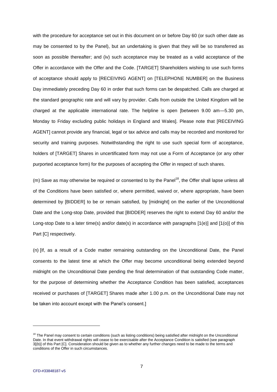with the procedure for acceptance set out in this document on or before Day 60 (or such other date as may be consented to by the Panel), but an undertaking is given that they will be so transferred as soon as possible thereafter; and (iv) such acceptance may be treated as a valid acceptance of the Offer in accordance with the Offer and the Code. [TARGET] Shareholders wishing to use such forms of acceptance should apply to [RECEIVING AGENT] on [TELEPHONE NUMBER] on the Business Day immediately preceding Day 60 in order that such forms can be despatched. Calls are charged at the standard geographic rate and will vary by provider. Calls from outside the United Kingdom will be charged at the applicable international rate. The helpline is open [between 9.00 am—5.30 pm, Monday to Friday excluding public holidays in England and Wales]. Please note that [RECEIVING AGENT] cannot provide any financial, legal or tax advice and calls may be recorded and monitored for security and training purposes. Notwithstanding the right to use such special form of acceptance, holders of [TARGET] Shares in uncertificated form may not use a Form of Acceptance (or any other purported acceptance form) for the purposes of accepting the Offer in respect of such shares.

(m) Save as may otherwise be required or consented to by the Panel<sup>18</sup>, the Offer shall lapse unless all of the Conditions have been satisfied or, where permitted, waived or, where appropriate, have been determined by [BIDDER] to be or remain satisfied, by [midnight] on the earlier of the Unconditional Date and the Long-stop Date, provided that [BIDDER] reserves the right to extend Day 60 and/or the Long-stop Date to a later time(s) and/or date(s) in accordance with paragraphs [1(e)] and [1(o)] of this Part [C] respectively.

(n) [If, as a result of a Code matter remaining outstanding on the Unconditional Date, the Panel consents to the latest time at which the Offer may become unconditional being extended beyond midnight on the Unconditional Date pending the final determination of that outstanding Code matter, for the purpose of determining whether the Acceptance Condition has been satisfied, acceptances received or purchases of [TARGET] Shares made after 1.00 p.m. on the Unconditional Date may not be taken into account except with the Panel's consent.]

<sup>&</sup>lt;sup>18</sup> The Panel may consent to certain conditions (such as listing conditions) being satisfied after midnight on the Unconditional Date. In that event withdrawal rights will cease to be exercisable after the Acceptance Condition is satisfied (see paragraph 3[(b)] of this Part [C]. Consideration should be given as to whether any further changes need to be made to the terms and conditions of the Offer in such circumstances.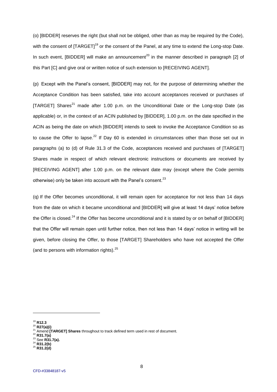(o) [BIDDER] reserves the right (but shall not be obliged, other than as may be required by the Code), with the consent of [TARGET]<sup>19</sup> or the consent of the Panel, at any time to extend the Long-stop Date. In such event, [BIDDER] will make an announcement<sup>20</sup> in the manner described in paragraph [2] of this Part [C] and give oral or written notice of such extension to [RECEIVING AGENT].

(p) Except with the Panel's consent, [BIDDER] may not, for the purpose of determining whether the Acceptance Condition has been satisfied, take into account acceptances received or purchases of [TARGET] Shares<sup>21</sup> made after 1.00 p.m. on the Unconditional Date or the Long-stop Date (as applicable) or, in the context of an ACIN published by [BIDDER], 1.00 p.m. on the date specified in the ACIN as being the date on which [BIDDER] intends to seek to invoke the Acceptance Condition so as to cause the Offer to lapse.<sup>22</sup> If Day 60 is extended in circumstances other than those set out in paragraphs (a) to (d) of Rule 31.3 of the Code, acceptances received and purchases of [TARGET] Shares made in respect of which relevant electronic instructions or documents are received by [RECEIVING AGENT] after 1.00 p.m. on the relevant date may (except where the Code permits otherwise) only be taken into account with the Panel's consent.<sup>23</sup>

(q) If the Offer becomes unconditional, it will remain open for acceptance for not less than 14 days from the date on which it became unconditional and [BIDDER] will give at least 14 days' notice before the Offer is closed.<sup>24</sup> If the Offer has become unconditional and it is stated by or on behalf of [BIDDER] that the Offer will remain open until further notice, then not less than 14 days' notice in writing will be given, before closing the Offer, to those [TARGET] Shareholders who have not accepted the Offer (and to persons with information rights). $25$ 

<sup>19</sup> **R12.3**

<sup>20</sup> **R27(a)(i)**

Amend **[TARGET] Shares** throughout to track defined term used in rest of document.

<sup>22</sup> **R31.7(a)**

<sup>&</sup>lt;sup>3</sup> See **R31.7(a).** 

<sup>24</sup> **R31.2(b)**

<sup>25</sup> **R31.2(d)**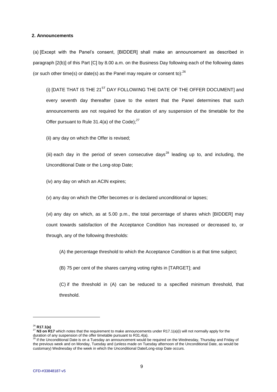#### **2. Announcements**

(a) [Except with the Panel's consent, [BIDDER] shall make an announcement as described in paragraph [2(b)] of this Part [C] by 8.00 a.m. on the Business Day following each of the following dates (or such other time(s) or date(s) as the Panel may require or consent to): $^{26}$ 

(i)  $[DATE$  THAT IS THE 21<sup>ST</sup> DAY FOLLOWING THE DATE OF THE OFFER DOCUMENT] and every seventh day thereafter (save to the extent that the Panel determines that such announcements are not required for the duration of any suspension of the timetable for the Offer pursuant to Rule 31.4(a) of the Code); $27$ 

(ii) any day on which the Offer is revised;

(iii) each day in the period of seven consecutive days<sup>28</sup> leading up to, and including, the Unconditional Date or the Long-stop Date;

(iv) any day on which an ACIN expires;

(v) any day on which the Offer becomes or is declared unconditional or lapses;

(vi) any day on which, as at 5.00 p.m., the total percentage of shares which [BIDDER] may count towards satisfaction of the Acceptance Condition has increased or decreased to, or through, any of the following thresholds:

(A) the percentage threshold to which the Acceptance Condition is at that time subject;

(B) 75 per cent of the shares carrying voting rights in [TARGET]; and

(C) if the threshold in (A) can be reduced to a specified minimum threshold, that threshold.

<sup>26</sup> **R17.1(a)**

<sup>&</sup>lt;sup>27</sup> N3 on R17 which notes that the requirement to make announcements under R17.1(a)(i) will not normally apply for the duration of any suspension of the offer timetable pursuant to R31.4(a).

<sup>&</sup>lt;sup>8</sup> If the Unconditional Date is on a Tuesday an announcement would be required on the Wednesday, Thursday and Friday of the previous week and on Monday, Tuesday and (unless made on Tuesday afternoon of the Unconditional Date, as would be customary) Wednesday of the week in which the Unconditional Date/Long-stop Date occurs.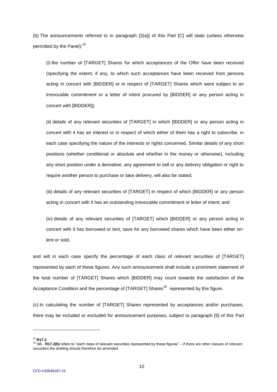(b) The announcements referred to in paragraph [2(a)] of this Part [C] will state (unless otherwise permitted by the Panel):<sup>29</sup>

(i) the number of [TARGET] Shares for which acceptances of the Offer have been received (specifying the extent, if any, to which such acceptances have been received from persons acting in concert with [BIDDER] or in respect of [TARGET] Shares which were subject to an irrevocable commitment or a letter of intent procured by [BIDDER] or any person acting in concert with [BIDDER]);

(ii) details of any relevant securities of [TARGET] in which [BIDDER] or any person acting in concert with it has an interest or in respect of which either of them has a right to subscribe, in each case specifying the nature of the interests or rights concerned. Similar details of any short positions (whether conditional or absolute and whether in the money or otherwise), including any short position under a derivative, any agreement to sell or any delivery obligation or right to require another person to purchase or take delivery, will also be stated;

(iii) details of any relevant securities of [TARGET] in respect of which [BIDDER] or any person acting in concert with it has an outstanding irrevocable commitment or letter of intent; and

(iv) details of any relevant securities of [TARGET] which [BIDDER] or any person acting in concert with it has borrowed or lent, save for any borrowed shares which have been either onlent or sold,

and will in each case specify the percentage of each class of relevant securities of [TARGET] represented by each of these figures. Any such announcement shall include a prominent statement of the total number of [TARGET] Shares which [BIDDER] may count towards the satisfaction of the Acceptance Condition and the percentage of [TARGET] Shares<sup>30</sup> represented by this figure.

(c) In calculating the number of [TARGET] Shares represented by acceptances and/or purchases, there may be included or excluded for announcement purposes, subject to paragraph [5] of this Part

<sup>29</sup> **R17.2**

<sup>30</sup> NB - **R17.2(b)** refers to "each class of relevant securities represented by these figures" – if there are other classes of relevant securities the drafting should therefore be amended.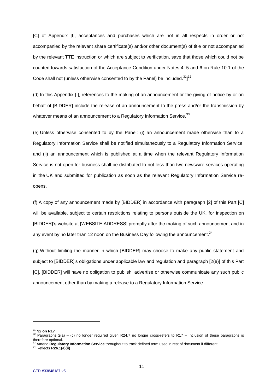[C] of Appendix [I], acceptances and purchases which are not in all respects in order or not accompanied by the relevant share certificate(s) and/or other document(s) of title or not accompanied by the relevant TTE instruction or which are subject to verification, save that those which could not be counted towards satisfaction of the Acceptance Condition under Notes 4, 5 and 6 on Rule 10.1 of the Code shall not (unless otherwise consented to by the Panel) be included. $31j^{32}$ 

(d) In this Appendix [I], references to the making of an announcement or the giving of notice by or on behalf of [BIDDER] include the release of an announcement to the press and/or the transmission by whatever means of an announcement to a Regulatory Information Service.<sup>33</sup>

(e) Unless otherwise consented to by the Panel: (i) an announcement made otherwise than to a Regulatory Information Service shall be notified simultaneously to a Regulatory Information Service; and (ii) an announcement which is published at a time when the relevant Regulatory Information Service is not open for business shall be distributed to not less than two newswire services operating in the UK and submitted for publication as soon as the relevant Regulatory Information Service reopens.

(f) A copy of any announcement made by [BIDDER] in accordance with paragraph [2] of this Part [C] will be available, subject to certain restrictions relating to persons outside the UK, for inspection on [BIDDER]'s website at [WEBSITE ADDRESS] promptly after the making of such announcement and in any event by no later than 12 noon on the Business Day following the announcement. $34$ 

(g) Without limiting the manner in which [BIDDER] may choose to make any public statement and subject to [BIDDER]'s obligations under applicable law and regulation and paragraph [2(e)] of this Part [C], [BIDDER] will have no obligation to publish, advertise or otherwise communicate any such public announcement other than by making a release to a Regulatory Information Service.

l

<sup>34</sup> Reflects **R26.1(a)(ii)**

<sup>31</sup> **N2 on R17**

<sup>&</sup>lt;sup>32</sup> Paragraphs 2(a) – (c) no longer required given R24.7 no longer cross-refers to R17 – Inclusion of these paragraphs is therefore optional.

<sup>33</sup> Amend **Regulatory Information Service** throughout to track defined term used in rest of document if different.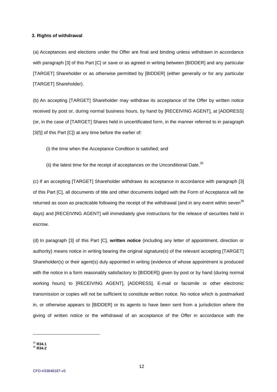#### **3. Rights of withdrawal**

(a) Acceptances and elections under the Offer are final and binding unless withdrawn in accordance with paragraph [3] of this Part [C] or save or as agreed in writing between [BIDDER] and any particular [TARGET] Shareholder or as otherwise permitted by [BIDDER] (either generally or for any particular [TARGET] Shareholder).

(b) An accepting [TARGET] Shareholder may withdraw its acceptance of the Offer by written notice received by post or, during normal business hours, by hand by [RECEIVING AGENT], at [ADDRESS] (or, in the case of [TARGET] Shares held in uncertificated form, in the manner referred to in paragraph [3(f)] of this Part [C]) at any time before the earlier of:

(i) the time when the Acceptance Condition is satisfied; and

(ii) the latest time for the receipt of acceptances on the Unconditional Date.<sup>35</sup>

(c) If an accepting [TARGET] Shareholder withdraws its acceptance in accordance with paragraph [3] of this Part [C], all documents of title and other documents lodged with the Form of Acceptance will be returned as soon as practicable following the receipt of the withdrawal (and in any event within seven<sup>36</sup> days) and [RECEIVING AGENT] will immediately give instructions for the release of securities held in escrow.

(d) In paragraph [3] of this Part [C], **written notice** (including any letter of appointment, direction or authority) means notice in writing bearing the original signature(s) of the relevant accepting [TARGET] Shareholder(s) or their agent(s) duly appointed in writing (evidence of whose appointment is produced with the notice in a form reasonably satisfactory to [BIDDER]) given by post or by hand (during normal working hours) to [RECEIVING AGENT], [ADDRESS]. E-mail or facsimile or other electronic transmission or copies will not be sufficient to constitute written notice. No notice which is postmarked in, or otherwise appears to [BIDDER] or its agents to have been sent from a jurisdiction where the giving of written notice or the withdrawal of an acceptance of the Offer in accordance with the

<sup>35</sup> **R34.1**

<sup>36</sup> **R34.2**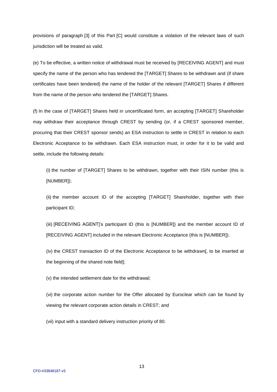provisions of paragraph [3] of this Part [C] would constitute a violation of the relevant laws of such jurisdiction will be treated as valid.

(e) To be effective, a written notice of withdrawal must be received by [RECEIVING AGENT] and must specify the name of the person who has tendered the [TARGET] Shares to be withdrawn and (if share certificates have been tendered) the name of the holder of the relevant [TARGET] Shares if different from the name of the person who tendered the [TARGET] Shares.

(f) In the case of [TARGET] Shares held in uncertificated form, an accepting [TARGET] Shareholder may withdraw their acceptance through CREST by sending (or, if a CREST sponsored member, procuring that their CREST sponsor sends) an ESA instruction to settle in CREST in relation to each Electronic Acceptance to be withdrawn. Each ESA instruction must, in order for it to be valid and settle, include the following details:

(i) the number of [TARGET] Shares to be withdrawn, together with their ISIN number (this is [NUMBER]);

(ii) the member account ID of the accepting [TARGET] Shareholder, together with their participant ID;

(iii) [RECEIVING AGENT]'s participant ID (this is [NUMBER]) and the member account ID of [RECEIVING AGENT] included in the relevant Electronic Acceptance (this is [NUMBER]);

(iv) the CREST transaction ID of the Electronic Acceptance to be withdrawn[, to be inserted at the beginning of the shared note field];

(v) the intended settlement date for the withdrawal;

(vi) the corporate action number for the Offer allocated by Euroclear which can be found by viewing the relevant corporate action details in CREST; and

(vii) input with a standard delivery instruction priority of 80.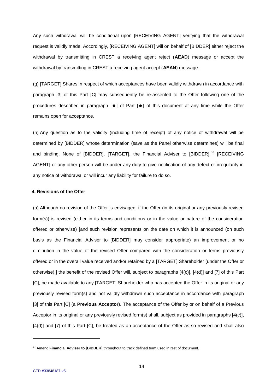Any such withdrawal will be conditional upon [RECEIVING AGENT] verifying that the withdrawal request is validly made. Accordingly, [RECEIVING AGENT] will on behalf of [BIDDER] either reject the withdrawal by transmitting in CREST a receiving agent reject (**AEAD**) message or accept the withdrawal by transmitting in CREST a receiving agent accept (**AEAN**) message.

(g) [TARGET] Shares in respect of which acceptances have been validly withdrawn in accordance with paragraph [3] of this Part [C] may subsequently be re-assented to the Offer following one of the procedures described in paragraph  $[\bullet]$  of Part  $[\bullet]$  of this document at any time while the Offer remains open for acceptance.

(h) Any question as to the validity (including time of receipt) of any notice of withdrawal will be determined by [BIDDER] whose determination (save as the Panel otherwise determines) will be final and binding. None of [BIDDER], [TARGET], the Financial Adviser to  $[BIDDER]$ ,  $37$   $[RECEIVING]$ AGENT] or any other person will be under any duty to give notification of any defect or irregularity in any notice of withdrawal or will incur any liability for failure to do so.

## **4. Revisions of the Offer**

(a) Although no revision of the Offer is envisaged, if the Offer (in its original or any previously revised form(s)) is revised (either in its terms and conditions or in the value or nature of the consideration offered or otherwise) [and such revision represents on the date on which it is announced (on such basis as the Financial Adviser to [BIDDER] may consider appropriate) an improvement or no diminution in the value of the revised Offer compared with the consideration or terms previously offered or in the overall value received and/or retained by a [TARGET] Shareholder (under the Offer or otherwise),] the benefit of the revised Offer will, subject to paragraphs [4(c)], [4(d)] and [7] of this Part [C], be made available to any [TARGET] Shareholder who has accepted the Offer in its original or any previously revised form(s) and not validly withdrawn such acceptance in accordance with paragraph [3] of this Part [C] (a **Previous Acceptor**). The acceptance of the Offer by or on behalf of a Previous Acceptor in its original or any previously revised form(s) shall, subject as provided in paragraphs [4(c)], [4(d)] and [7] of this Part [C], be treated as an acceptance of the Offer as so revised and shall also

<sup>37</sup> Amend **Financial Adviser to [BIDDER]** throughout to track defined term used in rest of document.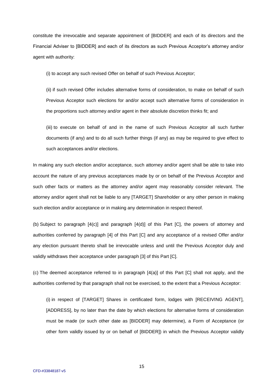constitute the irrevocable and separate appointment of [BIDDER] and each of its directors and the Financial Adviser to [BIDDER] and each of its directors as such Previous Acceptor's attorney and/or agent with authority:

(i) to accept any such revised Offer on behalf of such Previous Acceptor;

(ii) if such revised Offer includes alternative forms of consideration, to make on behalf of such Previous Acceptor such elections for and/or accept such alternative forms of consideration in the proportions such attorney and/or agent in their absolute discretion thinks fit; and

(iii) to execute on behalf of and in the name of such Previous Acceptor all such further documents (if any) and to do all such further things (if any) as may be required to give effect to such acceptances and/or elections.

In making any such election and/or acceptance, such attorney and/or agent shall be able to take into account the nature of any previous acceptances made by or on behalf of the Previous Acceptor and such other facts or matters as the attorney and/or agent may reasonably consider relevant. The attorney and/or agent shall not be liable to any [TARGET] Shareholder or any other person in making such election and/or acceptance or in making any determination in respect thereof.

(b) Subject to paragraph [4(c)] and paragraph [4(d)] of this Part [C], the powers of attorney and authorities conferred by paragraph [4] of this Part [C] and any acceptance of a revised Offer and/or any election pursuant thereto shall be irrevocable unless and until the Previous Acceptor duly and validly withdraws their acceptance under paragraph [3] of this Part [C].

(c) The deemed acceptance referred to in paragraph [4(a)] of this Part [C] shall not apply, and the authorities conferred by that paragraph shall not be exercised, to the extent that a Previous Acceptor:

(i) in respect of [TARGET] Shares in certificated form, lodges with [RECEIVING AGENT], [ADDRESS], by no later than the date by which elections for alternative forms of consideration must be made (or such other date as [BIDDER] may determine), a Form of Acceptance (or other form validly issued by or on behalf of [BIDDER]) in which the Previous Acceptor validly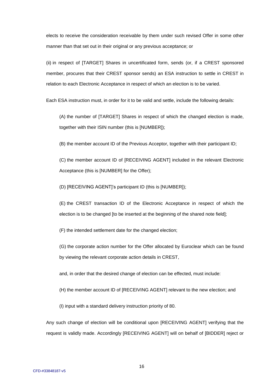elects to receive the consideration receivable by them under such revised Offer in some other manner than that set out in their original or any previous acceptance; or

(ii) in respect of [TARGET] Shares in uncertificated form, sends (or, if a CREST sponsored member, procures that their CREST sponsor sends) an ESA instruction to settle in CREST in relation to each Electronic Acceptance in respect of which an election is to be varied.

Each ESA instruction must, in order for it to be valid and settle, include the following details:

(A) the number of [TARGET] Shares in respect of which the changed election is made, together with their ISIN number (this is [NUMBER]);

(B) the member account ID of the Previous Acceptor, together with their participant ID;

(C) the member account ID of [RECEIVING AGENT] included in the relevant Electronic Acceptance (this is [NUMBER] for the Offer);

(D) [RECEIVING AGENT]'s participant ID (this is [NUMBER]);

(E) the CREST transaction ID of the Electronic Acceptance in respect of which the election is to be changed [to be inserted at the beginning of the shared note field];

(F) the intended settlement date for the changed election;

(G) the corporate action number for the Offer allocated by Euroclear which can be found by viewing the relevant corporate action details in CREST,

and, in order that the desired change of election can be effected, must include:

(H) the member account ID of [RECEIVING AGENT] relevant to the new election; and

(I) input with a standard delivery instruction priority of 80.

Any such change of election will be conditional upon [RECEIVING AGENT] verifying that the request is validly made. Accordingly [RECEIVING AGENT] will on behalf of [BIDDER] reject or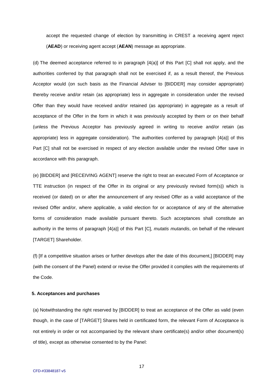accept the requested change of election by transmitting in CREST a receiving agent reject (**AEAD**) or receiving agent accept (**AEAN**) message as appropriate.

(d) The deemed acceptance referred to in paragraph [4(a)] of this Part [C] shall not apply, and the authorities conferred by that paragraph shall not be exercised if, as a result thereof, the Previous Acceptor would (on such basis as the Financial Adviser to [BIDDER] may consider appropriate) thereby receive and/or retain (as appropriate) less in aggregate in consideration under the revised Offer than they would have received and/or retained (as appropriate) in aggregate as a result of acceptance of the Offer in the form in which it was previously accepted by them or on their behalf (unless the Previous Acceptor has previously agreed in writing to receive and/or retain (as appropriate) less in aggregate consideration). The authorities conferred by paragraph [4(a)] of this Part [C] shall not be exercised in respect of any election available under the revised Offer save in accordance with this paragraph.

(e) [BIDDER] and [RECEIVING AGENT] reserve the right to treat an executed Form of Acceptance or TTE instruction (in respect of the Offer in its original or any previously revised form(s)) which is received (or dated) on or after the announcement of any revised Offer as a valid acceptance of the revised Offer and/or, where applicable, a valid election for or acceptance of any of the alternative forms of consideration made available pursuant thereto. Such acceptances shall constitute an authority in the terms of paragraph [4(a)] of this Part [C], *mutatis mutandis*, on behalf of the relevant [TARGET] Shareholder.

(f) [If a competitive situation arises or further develops after the date of this document,] [BIDDER] may (with the consent of the Panel) extend or revise the Offer provided it complies with the requirements of the Code.

# **5. Acceptances and purchases**

(a) Notwithstanding the right reserved by [BIDDER] to treat an acceptance of the Offer as valid (even though, in the case of [TARGET] Shares held in certificated form, the relevant Form of Acceptance is not entirely in order or not accompanied by the relevant share certificate(s) and/or other document(s) of title), except as otherwise consented to by the Panel: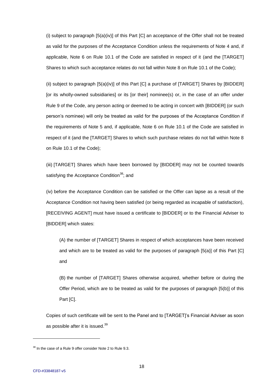(i) subject to paragraph [5(a)(iv)] of this Part [C] an acceptance of the Offer shall not be treated as valid for the purposes of the Acceptance Condition unless the requirements of Note 4 and, if applicable, Note 6 on Rule 10.1 of the Code are satisfied in respect of it (and the [TARGET] Shares to which such acceptance relates do not fall within Note 8 on Rule 10.1 of the Code);

(ii) subject to paragraph  $[5(a)(iv)]$  of this Part  $[C]$  a purchase of  $[TARGE]$  Shares by  $[BIDDER]$ [or its wholly-owned subsidiaries] or its [or their] nominee(s) or, in the case of an offer under Rule 9 of the Code, any person acting or deemed to be acting in concert with [BIDDER] (or such person's nominee) will only be treated as valid for the purposes of the Acceptance Condition if the requirements of Note 5 and, if applicable, Note 6 on Rule 10.1 of the Code are satisfied in respect of it (and the [TARGET] Shares to which such purchase relates do not fall within Note 8 on Rule 10.1 of the Code);

(iii) [TARGET] Shares which have been borrowed by [BIDDER] may not be counted towards satisfying the Acceptance Condition<sup>38</sup>; and

(iv) before the Acceptance Condition can be satisfied or the Offer can lapse as a result of the Acceptance Condition not having been satisfied (or being regarded as incapable of satisfaction), [RECEIVING AGENT] must have issued a certificate to [BIDDER] or to the Financial Adviser to [BIDDER] which states:

(A) the number of [TARGET] Shares in respect of which acceptances have been received and which are to be treated as valid for the purposes of paragraph [5(a)] of this Part [C] and

(B) the number of [TARGET] Shares otherwise acquired, whether before or during the Offer Period, which are to be treated as valid for the purposes of paragraph [5(b)] of this Part [C].

Copies of such certificate will be sent to the Panel and to [TARGET]'s Financial Adviser as soon as possible after it is issued.<sup>39</sup>

<sup>&</sup>lt;sup>38</sup> In the case of a Rule 9 offer consider Note 2 to Rule 9.3.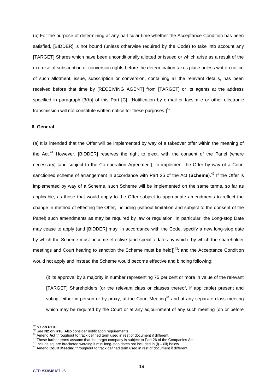(b) For the purpose of determining at any particular time whether the Acceptance Condition has been satisfied, [BIDDER] is not bound (unless otherwise required by the Code) to take into account any [TARGET] Shares which have been unconditionally allotted or issued or which arise as a result of the exercise of subscription or conversion rights before the determination takes place unless written notice of such allotment, issue, subscription or conversion, containing all the relevant details, has been received before that time by [RECEIVING AGENT] from [TARGET] or its agents at the address specified in paragraph [3(b)] of this Part [C]. [Notification by e-mail or facsimile or other electronic transmission will not constitute written notice for these purposes.] $^{40}$ 

#### **6. General**

(a) It is intended that the Offer will be implemented by way of a takeover offer within the meaning of the Act. $41$  However, [BIDDER] reserves the right to elect, with the consent of the Panel (where necessary) [and subject to the Co-operation Agreement], to implement the Offer by way of a Court sanctioned scheme of arrangement in accordance with Part 26 of the Act (**Scheme**). <sup>42</sup> If the Offer is implemented by way of a Scheme, such Scheme will be implemented on the same terms, so far as applicable, as those that would apply to the Offer subject to appropriate amendments to reflect the change in method of effecting the Offer, including (without limitation and subject to the consent of the Panel) such amendments as may be required by law or regulation. In particular: the Long-stop Date may cease to apply (and [BIDDER] may, in accordance with the Code, specify a new long-stop date by which the Scheme must become effective [and specific dates by which by which the shareholder meetings and Court hearing to sanction the Scheme must be held])<sup>43</sup>; and the Acceptance Condition would not apply and instead the Scheme would become effective and binding following:

(i) its approval by a majority in number representing 75 per cent or more in value of the relevant [TARGET] Shareholders (or the relevant class or classes thereof, if applicable) present and voting, either in person or by proxy, at the Court Meeting<sup>44</sup> and at any separate class meeting which may be required by the Court or at any adjournment of any such meeting [on or before

<sup>39</sup> **N7 on R10.1**

<sup>40</sup> See **N2 on R10**. Also consider notification requirements.

<sup>41</sup> Amend **Act** throughout to track defined term used in rest of document if different.

<sup>&</sup>lt;sup>42</sup> These further terms assume that the target company is subject to Part 26 of the Companies Act.

 $43$  Include square bracketed wording if mini long-stop dates not included in (i) – (iii) below.

<sup>44</sup> Amend **Court Meeting** throughout to track defined term used in rest of document if different.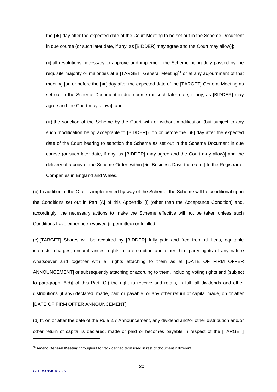the  $[•]$  day after the expected date of the Court Meeting to be set out in the Scheme Document in due course (or such later date, if any, as [BIDDER] may agree and the Court may allow)];

(ii) all resolutions necessary to approve and implement the Scheme being duly passed by the requisite majority or majorities at a  $[TARGE]$  General Meeting<sup>45</sup> or at any adjournment of that meeting [on or before the [ $\bullet$ ] day after the expected date of the [TARGET] General Meeting as set out in the Scheme Document in due course (or such later date, if any, as [BIDDER] may agree and the Court may allow)]; and

(iii) the sanction of the Scheme by the Court with or without modification (but subject to any such modification being acceptable to  $[BIDDER]$  [on or before the  $[•]$  day after the expected date of the Court hearing to sanction the Scheme as set out in the Scheme Document in due course (or such later date, if any, as [BIDDER] may agree and the Court may allow)] and the delivery of a copy of the Scheme Order [within  $\lceil \bullet \rceil$  Business Days thereafter] to the Registrar of Companies in England and Wales.

(b) In addition, if the Offer is implemented by way of the Scheme, the Scheme will be conditional upon the Conditions set out in Part [A] of this Appendix [I] (other than the Acceptance Condition) and, accordingly, the necessary actions to make the Scheme effective will not be taken unless such Conditions have either been waived (if permitted) or fulfilled.

(c) [TARGET] Shares will be acquired by [BIDDER] fully paid and free from all liens, equitable interests, charges, encumbrances, rights of pre-emption and other third party rights of any nature whatsoever and together with all rights attaching to them as at [DATE OF FIRM OFFER ANNOUNCEMENT] or subsequently attaching or accruing to them, including voting rights and (subject to paragraph [6(d)] of this Part [C]) the right to receive and retain, in full, all dividends and other distributions (if any) declared, made, paid or payable, or any other return of capital made, on or after [DATE OF FIRM OFFER ANNOUNCEMENT].

(d) If, on or after the date of the Rule 2.7 Announcement, any dividend and/or other distribution and/or other return of capital is declared, made or paid or becomes payable in respect of the [TARGET]

<sup>45</sup> Amend **General Meeting** throughout to track defined term used in rest of document if different.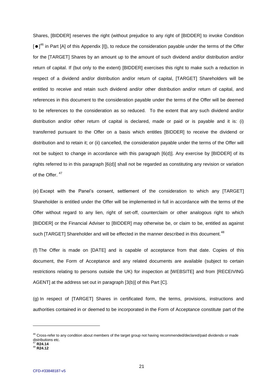Shares, [BIDDER] reserves the right (without prejudice to any right of [BIDDER] to invoke Condition  $\left[\bullet\right]^{46}$  in Part [A] of this Appendix [I]), to reduce the consideration payable under the terms of the Offer for the [TARGET] Shares by an amount up to the amount of such dividend and/or distribution and/or return of capital. If (but only to the extent) [BIDDER] exercises this right to make such a reduction in respect of a dividend and/or distribution and/or return of capital, [TARGET] Shareholders will be entitled to receive and retain such dividend and/or other distribution and/or return of capital, and references in this document to the consideration payable under the terms of the Offer will be deemed to be references to the consideration as so reduced. To the extent that any such dividend and/or distribution and/or other return of capital is declared, made or paid or is payable and it is: (i) transferred pursuant to the Offer on a basis which entitles [BIDDER] to receive the dividend or distribution and to retain it; or (ii) cancelled, the consideration payable under the terms of the Offer will not be subject to change in accordance with this paragraph [6(d)]. Any exercise by [BIDDER] of its rights referred to in this paragraph [6(d)] shall not be regarded as constituting any revision or variation of the Offer.  $47$ 

(e) Except with the Panel's consent, settlement of the consideration to which any [TARGET] Shareholder is entitled under the Offer will be implemented in full in accordance with the terms of the Offer without regard to any lien, right of set-off, counterclaim or other analogous right to which [BIDDER] or the Financial Adviser to [BIDDER] may otherwise be, or claim to be, entitled as against such [TARGET] Shareholder and will be effected in the manner described in this document.<sup>48</sup>

(f) The Offer is made on [DATE] and is capable of acceptance from that date. Copies of this document, the Form of Acceptance and any related documents are available (subject to certain restrictions relating to persons outside the UK) for inspection at [WEBSITE] and from [RECEIVING AGENT] at the address set out in paragraph [3(b)] of this Part [C].

(g) In respect of [TARGET] Shares in certificated form, the terms, provisions, instructions and authorities contained in or deemed to be incorporated in the Form of Acceptance constitute part of the

<sup>&</sup>lt;sup>46</sup> Cross-refer to any condition about members of the target group not having recommended/declared/paid dividends or made distributions etc. <sup>47</sup> **R24.14**

<sup>48</sup> **R24.12**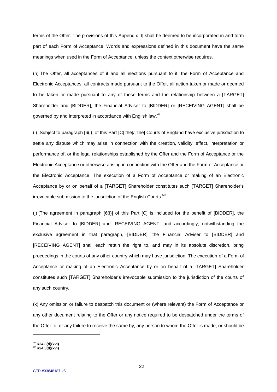terms of the Offer. The provisions of this Appendix [I] shall be deemed to be incorporated in and form part of each Form of Acceptance. Words and expressions defined in this document have the same meanings when used in the Form of Acceptance, unless the context otherwise requires.

(h) The Offer, all acceptances of it and all elections pursuant to it, the Form of Acceptance and Electronic Acceptances, all contracts made pursuant to the Offer, all action taken or made or deemed to be taken or made pursuant to any of these terms and the relationship between a [TARGET] Shareholder and [BIDDER], the Financial Adviser to [BIDDER] or [RECEIVING AGENT] shall be governed by and interpreted in accordance with English law.<sup>49</sup>

(i) [Subject to paragraph [6(j)] of this Part [C] the]/[The] Courts of England have exclusive jurisdiction to settle any dispute which may arise in connection with the creation, validity, effect, interpretation or performance of, or the legal relationships established by the Offer and the Form of Acceptance or the Electronic Acceptance or otherwise arising in connection with the Offer and the Form of Acceptance or the Electronic Acceptance. The execution of a Form of Acceptance or making of an Electronic Acceptance by or on behalf of a [TARGET] Shareholder constitutes such [TARGET] Shareholder's irrevocable submission to the jurisdiction of the English Courts.<sup>50</sup>

(j) [The agreement in paragraph [6(i)] of this Part [C] is included for the benefit of [BIDDER], the Financial Adviser to [BIDDER] and [RECEIVING AGENT] and accordingly, notwithstanding the exclusive agreement in that paragraph, [BIDDER], the Financial Adviser to [BIDDER] and [RECEIVING AGENT] shall each retain the right to, and may in its absolute discretion, bring proceedings in the courts of any other country which may have jurisdiction. The execution of a Form of Acceptance or making of an Electronic Acceptance by or on behalf of a [TARGET] Shareholder constitutes such [TARGET] Shareholder's irrevocable submission to the jurisdiction of the courts of any such country.

(k) Any omission or failure to despatch this document or (where relevant) the Form of Acceptance or any other document relating to the Offer or any notice required to be despatched under the terms of the Offer to, or any failure to receive the same by, any person to whom the Offer is made, or should be

<sup>49</sup> **R24.3(d)(xvi)**

<sup>50</sup> **R24.3(d)(xvi)**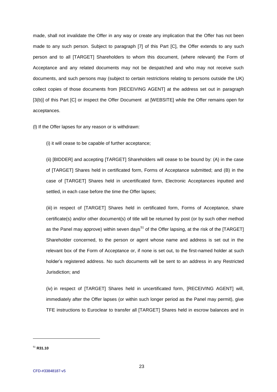made, shall not invalidate the Offer in any way or create any implication that the Offer has not been made to any such person. Subject to paragraph [7] of this Part [C], the Offer extends to any such person and to all [TARGET] Shareholders to whom this document, (where relevant) the Form of Acceptance and any related documents may not be despatched and who may not receive such documents, and such persons may (subject to certain restrictions relating to persons outside the UK) collect copies of those documents from [RECEIVING AGENT] at the address set out in paragraph [3(b)] of this Part [C] or inspect the Offer Document at [WEBSITE] while the Offer remains open for acceptances.

(l) If the Offer lapses for any reason or is withdrawn:

(i) it will cease to be capable of further acceptance;

(ii) [BIDDER] and accepting [TARGET] Shareholders will cease to be bound by: (A) in the case of [TARGET] Shares held in certificated form, Forms of Acceptance submitted; and (B) in the case of [TARGET] Shares held in uncertificated form, Electronic Acceptances inputted and settled, in each case before the time the Offer lapses;

(iii) in respect of [TARGET] Shares held in certificated form, Forms of Acceptance, share certificate(s) and/or other document(s) of title will be returned by post (or by such other method as the Panel may approve) within seven days<sup>51</sup> of the Offer lapsing, at the risk of the [TARGET] Shareholder concerned, to the person or agent whose name and address is set out in the relevant box of the Form of Acceptance or, if none is set out, to the first-named holder at such holder's registered address. No such documents will be sent to an address in any Restricted Jurisdiction; and

(iv) in respect of [TARGET] Shares held in uncertificated form, [RECEIVING AGENT] will, immediately after the Offer lapses (or within such longer period as the Panel may permit), give TFE instructions to Euroclear to transfer all [TARGET] Shares held in escrow balances and in

<sup>51</sup> **R31.10**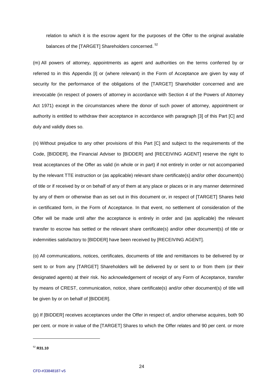relation to which it is the escrow agent for the purposes of the Offer to the original available balances of the [TARGET] Shareholders concerned.<sup>52</sup>

(m) All powers of attorney, appointments as agent and authorities on the terms conferred by or referred to in this Appendix [I] or (where relevant) in the Form of Acceptance are given by way of security for the performance of the obligations of the [TARGET] Shareholder concerned and are irrevocable (in respect of powers of attorney in accordance with Section 4 of the Powers of Attorney Act 1971) except in the circumstances where the donor of such power of attorney, appointment or authority is entitled to withdraw their acceptance in accordance with paragraph [3] of this Part [C] and duly and validly does so.

(n) Without prejudice to any other provisions of this Part [C] and subject to the requirements of the Code, [BIDDER], the Financial Adviser to [BIDDER] and [RECEIVING AGENT] reserve the right to treat acceptances of the Offer as valid (in whole or in part) if not entirely in order or not accompanied by the relevant TTE instruction or (as applicable) relevant share certificate(s) and/or other document(s) of title or if received by or on behalf of any of them at any place or places or in any manner determined by any of them or otherwise than as set out in this document or, in respect of [TARGET] Shares held in certificated form, in the Form of Acceptance. In that event, no settlement of consideration of the Offer will be made until after the acceptance is entirely in order and (as applicable) the relevant transfer to escrow has settled or the relevant share certificate(s) and/or other document(s) of title or indemnities satisfactory to [BIDDER] have been received by [RECEIVING AGENT].

(o) All communications, notices, certificates, documents of title and remittances to be delivered by or sent to or from any [TARGET] Shareholders will be delivered by or sent to or from them (or their designated agents) at their risk. No acknowledgement of receipt of any Form of Acceptance, transfer by means of CREST, communication, notice, share certificate(s) and/or other document(s) of title will be given by or on behalf of [BIDDER].

(p) If [BIDDER] receives acceptances under the Offer in respect of, and/or otherwise acquires, both 90 per cent. or more in value of the [TARGET] Shares to which the Offer relates and 90 per cent. or more

<sup>52</sup> **R31.10**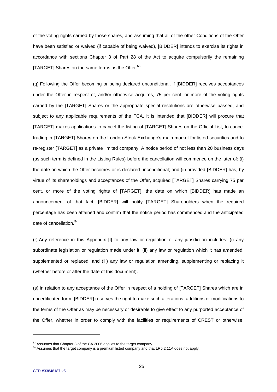of the voting rights carried by those shares, and assuming that all of the other Conditions of the Offer have been satisfied or waived (if capable of being waived), [BIDDER] intends to exercise its rights in accordance with sections Chapter 3 of Part 28 of the Act to acquire compulsorily the remaining [TARGET] Shares on the same terms as the Offer.<sup>53</sup>

(q) Following the Offer becoming or being declared unconditional, if [BIDDER] receives acceptances under the Offer in respect of, and/or otherwise acquires, 75 per cent. or more of the voting rights carried by the [TARGET] Shares or the appropriate special resolutions are otherwise passed, and subject to any applicable requirements of the FCA, it is intended that [BIDDER] will procure that [TARGET] makes applications to cancel the listing of [TARGET] Shares on the Official List, to cancel trading in [TARGET] Shares on the London Stock Exchange's main market for listed securities and to re-register [TARGET] as a private limited company. A notice period of not less than 20 business days (as such term is defined in the Listing Rules) before the cancellation will commence on the later of: (i) the date on which the Offer becomes or is declared unconditional; and (ii) provided [BIDDER] has, by virtue of its shareholdings and acceptances of the Offer, acquired [TARGET] Shares carrying 75 per cent. or more of the voting rights of [TARGET], the date on which [BIDDER] has made an announcement of that fact. [BIDDER] will notify [TARGET] Shareholders when the required percentage has been attained and confirm that the notice period has commenced and the anticipated date of cancellation.<sup>54</sup>

(r) Any reference in this Appendix [I] to any law or regulation of any jurisdiction includes: (i) any subordinate legislation or regulation made under it; (ii) any law or regulation which it has amended, supplemented or replaced; and (iii) any law or regulation amending, supplementing or replacing it (whether before or after the date of this document).

(s) In relation to any acceptance of the Offer in respect of a holding of [TARGET] Shares which are in uncertificated form, [BIDDER] reserves the right to make such alterations, additions or modifications to the terms of the Offer as may be necessary or desirable to give effect to any purported acceptance of the Offer, whether in order to comply with the facilities or requirements of CREST or otherwise,

 $^{53}_{\sim}$  Assumes that Chapter 3 of the CA 2006 applies to the target company.

<sup>&</sup>lt;sup>54</sup> Assumes that the target company is a premium listed company and that LR5.2.11A does not apply.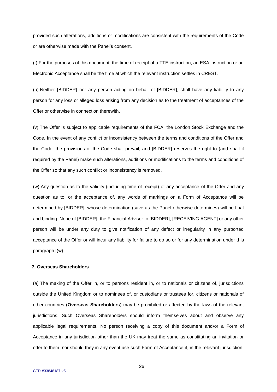provided such alterations, additions or modifications are consistent with the requirements of the Code or are otherwise made with the Panel's consent.

(t) For the purposes of this document, the time of receipt of a TTE instruction, an ESA instruction or an Electronic Acceptance shall be the time at which the relevant instruction settles in CREST.

(u) Neither [BIDDER] nor any person acting on behalf of [BIDDER], shall have any liability to any person for any loss or alleged loss arising from any decision as to the treatment of acceptances of the Offer or otherwise in connection therewith.

(v) The Offer is subject to applicable requirements of the FCA, the London Stock Exchange and the Code. In the event of any conflict or inconsistency between the terms and conditions of the Offer and the Code, the provisions of the Code shall prevail, and [BIDDER] reserves the right to (and shall if required by the Panel) make such alterations, additions or modifications to the terms and conditions of the Offer so that any such conflict or inconsistency is removed.

(w) Any question as to the validity (including time of receipt) of any acceptance of the Offer and any question as to, or the acceptance of, any words of markings on a Form of Acceptance will be determined by [BIDDER], whose determination (save as the Panel otherwise determines) will be final and binding. None of [BIDDER], the Financial Adviser to [BIDDER], [RECEIVING AGENT] or any other person will be under any duty to give notification of any defect or irregularity in any purported acceptance of the Offer or will incur any liability for failure to do so or for any determination under this paragraph [(w)].

## **7. Overseas Shareholders**

(a) The making of the Offer in, or to persons resident in, or to nationals or citizens of, jurisdictions outside the United Kingdom or to nominees of, or custodians or trustees for, citizens or nationals of other countries (**Overseas Shareholders**) may be prohibited or affected by the laws of the relevant jurisdictions. Such Overseas Shareholders should inform themselves about and observe any applicable legal requirements. No person receiving a copy of this document and/or a Form of Acceptance in any jurisdiction other than the UK may treat the same as constituting an invitation or offer to them, nor should they in any event use such Form of Acceptance if, in the relevant jurisdiction,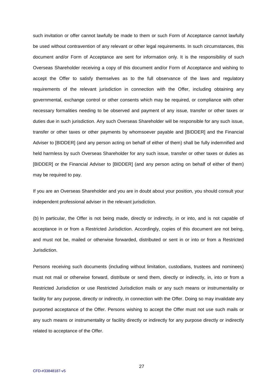such invitation or offer cannot lawfully be made to them or such Form of Acceptance cannot lawfully be used without contravention of any relevant or other legal requirements. In such circumstances, this document and/or Form of Acceptance are sent for information only. It is the responsibility of such Overseas Shareholder receiving a copy of this document and/or Form of Acceptance and wishing to accept the Offer to satisfy themselves as to the full observance of the laws and regulatory requirements of the relevant jurisdiction in connection with the Offer, including obtaining any governmental, exchange control or other consents which may be required, or compliance with other necessary formalities needing to be observed and payment of any issue, transfer or other taxes or duties due in such jurisdiction. Any such Overseas Shareholder will be responsible for any such issue, transfer or other taxes or other payments by whomsoever payable and [BIDDER] and the Financial Adviser to [BIDDER] (and any person acting on behalf of either of them) shall be fully indemnified and held harmless by such Overseas Shareholder for any such issue, transfer or other taxes or duties as [BIDDER] or the Financial Adviser to [BIDDER] (and any person acting on behalf of either of them) may be required to pay.

If you are an Overseas Shareholder and you are in doubt about your position, you should consult your independent professional adviser in the relevant jurisdiction.

(b) In particular, the Offer is not being made, directly or indirectly, in or into, and is not capable of acceptance in or from a Restricted Jurisdiction. Accordingly, copies of this document are not being, and must not be, mailed or otherwise forwarded, distributed or sent in or into or from a Restricted Jurisdiction.

Persons receiving such documents (including without limitation, custodians, trustees and nominees) must not mail or otherwise forward, distribute or send them, directly or indirectly, in, into or from a Restricted Jurisdiction or use Restricted Jurisdiction mails or any such means or instrumentality or facility for any purpose, directly or indirectly, in connection with the Offer. Doing so may invalidate any purported acceptance of the Offer. Persons wishing to accept the Offer must not use such mails or any such means or instrumentality or facility directly or indirectly for any purpose directly or indirectly related to acceptance of the Offer.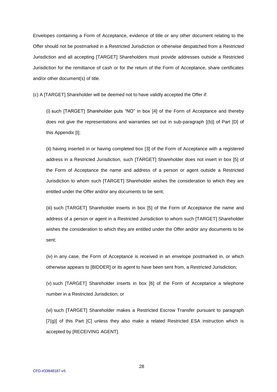Envelopes containing a Form of Acceptance, evidence of title or any other document relating to the Offer should not be postmarked in a Restricted Jurisdiction or otherwise despatched from a Restricted Jurisdiction and all accepting [TARGET] Shareholders must provide addresses outside a Restricted Jurisdiction for the remittance of cash or for the return of the Form of Acceptance, share certificates and/or other document(s) of title.

(c) A [TARGET] Shareholder will be deemed not to have validly accepted the Offer if:

(i) such [TARGET] Shareholder puts "NO" in box [4] of the Form of Acceptance and thereby does not give the representations and warranties set out in sub-paragraph [(b)] of Part [D] of this Appendix [I];

(ii) having inserted in or having completed box [3] of the Form of Acceptance with a registered address in a Restricted Jurisdiction, such [TARGET] Shareholder does not insert in box [5] of the Form of Acceptance the name and address of a person or agent outside a Restricted Jurisdiction to whom such [TARGET] Shareholder wishes the consideration to which they are entitled under the Offer and/or any documents to be sent;

(iii) such [TARGET] Shareholder inserts in box [5] of the Form of Acceptance the name and address of a person or agent in a Restricted Jurisdiction to whom such [TARGET] Shareholder wishes the consideration to which they are entitled under the Offer and/or any documents to be sent;

(iv) in any case, the Form of Acceptance is received in an envelope postmarked in, or which otherwise appears to [BIDDER] or its agent to have been sent from, a Restricted Jurisdiction;

(v) such [TARGET] Shareholder inserts in box [6] of the Form of Acceptance a telephone number in a Restricted Jurisdiction; or

(vi) such [TARGET] Shareholder makes a Restricted Escrow Transfer pursuant to paragraph [7(g)] of this Part [C] unless they also make a related Restricted ESA instruction which is accepted by [RECEIVING AGENT].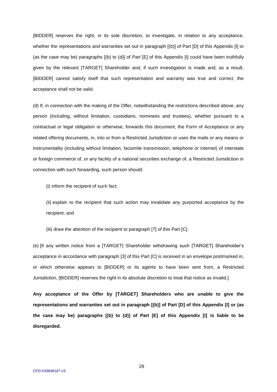[BIDDER] reserves the right, in its sole discretion, to investigate, in relation to any acceptance, whether the representations and warranties set out in paragraph  $[(b)]$  of Part  $[D]$  of this Appendix  $[i]$  or (as the case may be) paragraphs [(b) to (d)] of Part [E] of this Appendix [I] could have been truthfully given by the relevant [TARGET] Shareholder and, if such investigation is made and, as a result, [BIDDER] cannot satisfy itself that such representation and warranty was true and correct, the acceptance shall not be valid.

(d) If, in connection with the making of the Offer, notwithstanding the restrictions described above, any person (including, without limitation, custodians, nominees and trustees), whether pursuant to a contractual or legal obligation or otherwise, forwards this document, the Form of Acceptance or any related offering documents, in, into or from a Restricted Jurisdiction or uses the mails or any means or instrumentality (including without limitation, facsimile transmission, telephone or internet) of interstate or foreign commerce of, or any facility of a national securities exchange of, a Restricted Jurisdiction in connection with such forwarding, such person should:

(i) inform the recipient of such fact;

(ii) explain to the recipient that such action may invalidate any purported acceptance by the recipient; and

(iii) draw the attention of the recipient to paragraph [7] of this Part [C].

(e) [If any written notice from a [TARGET] Shareholder withdrawing such [TARGET] Shareholder's acceptance in accordance with paragraph [3] of this Part [C] is received in an envelope postmarked in, or which otherwise appears to [BIDDER] or its agents to have been sent from, a Restricted Jurisdiction, [BIDDER] reserves the right in its absolute discretion to treat that notice as invalid.]

**Any acceptance of the Offer by [TARGET] Shareholders who are unable to give the representations and warranties set out in paragraph [(b)] of Part [D] of this Appendix [I] or (as the case may be) paragraphs [(b) to (d)] of Part [E] of this Appendix [I] is liable to be disregarded.**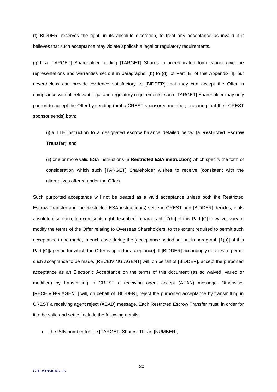(f) [BIDDER] reserves the right, in its absolute discretion, to treat any acceptance as invalid if it believes that such acceptance may violate applicable legal or regulatory requirements.

(g) If a [TARGET] Shareholder holding [TARGET] Shares in uncertificated form cannot give the representations and warranties set out in paragraphs [(b) to (d)] of Part [E] of this Appendix [I], but nevertheless can provide evidence satisfactory to [BIDDER] that they can accept the Offer in compliance with all relevant legal and regulatory requirements, such [TARGET] Shareholder may only purport to accept the Offer by sending (or if a CREST sponsored member, procuring that their CREST sponsor sends) both:

(i) a TTE instruction to a designated escrow balance detailed below (a **Restricted Escrow Transfer**); and

(ii) one or more valid ESA instructions (a **Restricted ESA instruction**) which specify the form of consideration which such [TARGET] Shareholder wishes to receive (consistent with the alternatives offered under the Offer).

Such purported acceptance will not be treated as a valid acceptance unless both the Restricted Escrow Transfer and the Restricted ESA instruction(s) settle in CREST and [BIDDER] decides, in its absolute discretion, to exercise its right described in paragraph [7(h)] of this Part [C] to waive, vary or modify the terms of the Offer relating to Overseas Shareholders, to the extent required to permit such acceptance to be made, in each case during the [acceptance period set out in paragraph [1(a)] of this Part [C]]/[period for which the Offer is open for acceptance]. If [BIDDER] accordingly decides to permit such acceptance to be made, [RECEIVING AGENT] will, on behalf of [BIDDER], accept the purported acceptance as an Electronic Acceptance on the terms of this document (as so waived, varied or modified) by transmitting in CREST a receiving agent accept (AEAN) message. Otherwise, [RECEIVING AGENT] will, on behalf of [BIDDER], reject the purported acceptance by transmitting in CREST a receiving agent reject (AEAD) message. Each Restricted Escrow Transfer must, in order for it to be valid and settle, include the following details:

• the ISIN number for the [TARGET] Shares. This is [NUMBER];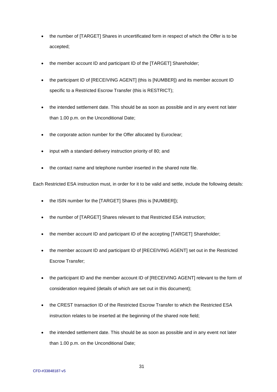- the number of [TARGET] Shares in uncertificated form in respect of which the Offer is to be accepted;
- the member account ID and participant ID of the [TARGET] Shareholder;
- the participant ID of [RECEIVING AGENT] (this is [NUMBER]) and its member account ID specific to a Restricted Escrow Transfer (this is RESTRICT);
- the intended settlement date. This should be as soon as possible and in any event not later than 1.00 p.m. on the Unconditional Date;
- the corporate action number for the Offer allocated by Euroclear;
- input with a standard delivery instruction priority of 80; and
- the contact name and telephone number inserted in the shared note file.

Each Restricted ESA instruction must, in order for it to be valid and settle, include the following details:

- the ISIN number for the [TARGET] Shares (this is [NUMBER]);
- the number of [TARGET] Shares relevant to that Restricted ESA instruction;
- the member account ID and participant ID of the accepting [TARGET] Shareholder;
- the member account ID and participant ID of [RECEIVING AGENT] set out in the Restricted Escrow Transfer;
- the participant ID and the member account ID of [RECEIVING AGENT] relevant to the form of consideration required (details of which are set out in this document);
- the CREST transaction ID of the Restricted Escrow Transfer to which the Restricted ESA instruction relates to be inserted at the beginning of the shared note field;
- the intended settlement date. This should be as soon as possible and in any event not later than 1.00 p.m. on the Unconditional Date;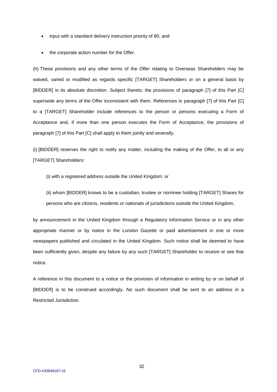- input with a standard delivery instruction priority of 80; and
- the corporate action number for the Offer.

(h) These provisions and any other terms of the Offer relating to Overseas Shareholders may be waived, varied or modified as regards specific [TARGET] Shareholders or on a general basis by [BIDDER] in its absolute discretion. Subject thereto, the provisions of paragraph [7] of this Part [C] supersede any terms of the Offer inconsistent with them. References in paragraph [7] of this Part [C] to a [TARGET] Shareholder include references to the person or persons executing a Form of Acceptance and, if more than one person executes the Form of Acceptance, the provisions of paragraph [7] of this Part [C] shall apply to them jointly and severally.

(i) [BIDDER] reserves the right to notify any matter, including the making of the Offer, to all or any [TARGET] Shareholders:

- (i) with a registered address outside the United Kingdom; or
- (ii) whom [BIDDER] knows to be a custodian, trustee or nominee holding [TARGET] Shares for persons who are citizens, residents or nationals of jurisdictions outside the United Kingdom,

by announcement in the United Kingdom through a Regulatory Information Service or in any other appropriate manner or by notice in the London Gazette or paid advertisement in one or more newspapers published and circulated in the United Kingdom. Such notice shall be deemed to have been sufficiently given, despite any failure by any such [TARGET] Shareholder to receive or see that notice.

A reference in this document to a notice or the provision of information in writing by or on behalf of [BIDDER] is to be construed accordingly. No such document shall be sent to an address in a Restricted Jurisdiction.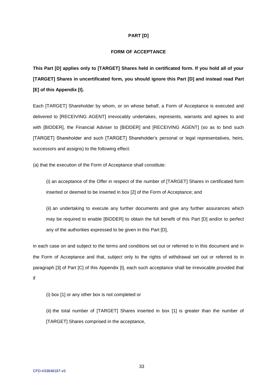## **PART [D]**

# **FORM OF ACCEPTANCE**

**This Part [D] applies only to [TARGET] Shares held in certificated form. If you hold all of your [TARGET] Shares in uncertificated form, you should ignore this Part [D] and instead read Part [E] of this Appendix [I].**

Each [TARGET] Shareholder by whom, or on whose behalf, a Form of Acceptance is executed and delivered to [RECEIVING AGENT] irrevocably undertakes, represents, warrants and agrees to and with [BIDDER], the Financial Adviser to [BIDDER] and [RECEIVING AGENT] (so as to bind such [TARGET] Shareholder and such [TARGET] Shareholder's personal or legal representatives, heirs, successors and assigns) to the following effect:

(a) that the execution of the Form of Acceptance shall constitute:

(i) an acceptance of the Offer in respect of the number of [TARGET] Shares in certificated form inserted or deemed to be inserted in box [2] of the Form of Acceptance; and

(ii) an undertaking to execute any further documents and give any further assurances which may be required to enable [BIDDER] to obtain the full benefit of this Part [D] and/or to perfect any of the authorities expressed to be given in this Part [D],

in each case on and subject to the terms and conditions set out or referred to in this document and in the Form of Acceptance and that, subject only to the rights of withdrawal set out or referred to in paragraph [3] of Part [C] of this Appendix [I], each such acceptance shall be irrevocable provided that if

(i) box [1] or any other box is not completed or

(ii) the total number of [TARGET] Shares inserted in box [1] is greater than the number of [TARGET] Shares comprised in the acceptance,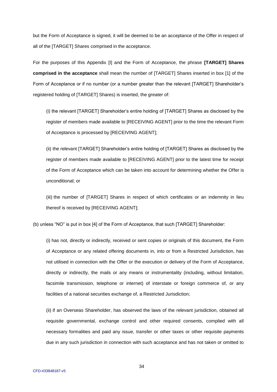but the Form of Acceptance is signed, it will be deemed to be an acceptance of the Offer in respect of all of the [TARGET] Shares comprised in the acceptance.

For the purposes of this Appendix [I] and the Form of Acceptance, the phrase **[TARGET] Shares comprised in the acceptance** shall mean the number of [TARGET] Shares inserted in box [1] of the Form of Acceptance or if no number (or a number greater than the relevant [TARGET] Shareholder's registered holding of [TARGET] Shares) is inserted, the greater of:

(i) the relevant [TARGET] Shareholder's entire holding of [TARGET] Shares as disclosed by the register of members made available to [RECEIVING AGENT] prior to the time the relevant Form of Acceptance is processed by [RECEIVING AGENT];

(ii) the relevant [TARGET] Shareholder's entire holding of [TARGET] Shares as disclosed by the register of members made available to [RECEIVING AGENT] prior to the latest time for receipt of the Form of Acceptance which can be taken into account for determining whether the Offer is unconditional; or

(iii) the number of [TARGET] Shares in respect of which certificates or an indemnity in lieu thereof is received by [RECEIVING AGENT];

(b) unless "NO" is put in box [4] of the Form of Acceptance, that such [TARGET] Shareholder:

(i) has not, directly or indirectly, received or sent copies or originals of this document, the Form of Acceptance or any related offering documents in, into or from a Restricted Jurisdiction, has not utilised in connection with the Offer or the execution or delivery of the Form of Acceptance, directly or indirectly, the mails or any means or instrumentality (including, without limitation, facsimile transmission, telephone or internet) of interstate or foreign commerce of, or any facilities of a national securities exchange of, a Restricted Jurisdiction;

(ii) if an Overseas Shareholder, has observed the laws of the relevant jurisdiction, obtained all requisite governmental, exchange control and other required consents, complied with all necessary formalities and paid any issue, transfer or other taxes or other requisite payments due in any such jurisdiction in connection with such acceptance and has not taken or omitted to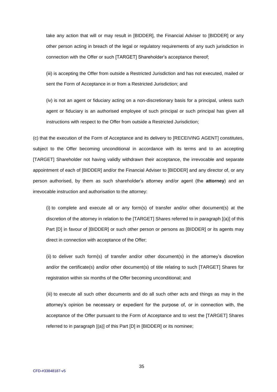take any action that will or may result in [BIDDER], the Financial Adviser to [BIDDER] or any other person acting in breach of the legal or regulatory requirements of any such jurisdiction in connection with the Offer or such [TARGET] Shareholder's acceptance thereof;

(iii) is accepting the Offer from outside a Restricted Jurisdiction and has not executed, mailed or sent the Form of Acceptance in or from a Restricted Jurisdiction; and

(iv) is not an agent or fiduciary acting on a non-discretionary basis for a principal, unless such agent or fiduciary is an authorised employee of such principal or such principal has given all instructions with respect to the Offer from outside a Restricted Jurisdiction;

(c) that the execution of the Form of Acceptance and its delivery to [RECEIVING AGENT] constitutes, subject to the Offer becoming unconditional in accordance with its terms and to an accepting [TARGET] Shareholder not having validly withdrawn their acceptance, the irrevocable and separate appointment of each of [BIDDER] and/or the Financial Adviser to [BIDDER] and any director of, or any person authorised, by them as such shareholder's attorney and/or agent (the **attorney**) and an irrevocable instruction and authorisation to the attorney:

(i) to complete and execute all or any form(s) of transfer and/or other document(s) at the discretion of the attorney in relation to the [TARGET] Shares referred to in paragraph [(a)] of this Part [D] in favour of [BIDDER] or such other person or persons as [BIDDER] or its agents may direct in connection with acceptance of the Offer;

(ii) to deliver such form(s) of transfer and/or other document(s) in the attorney's discretion and/or the certificate(s) and/or other document(s) of title relating to such [TARGET] Shares for registration within six months of the Offer becoming unconditional; and

(iii) to execute all such other documents and do all such other acts and things as may in the attorney's opinion be necessary or expedient for the purpose of, or in connection with, the acceptance of the Offer pursuant to the Form of Acceptance and to vest the [TARGET] Shares referred to in paragraph [(a)] of this Part [D] in [BIDDER] or its nominee;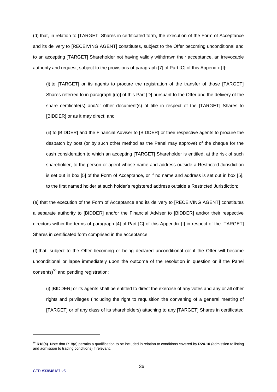(d) that, in relation to [TARGET] Shares in certificated form, the execution of the Form of Acceptance and its delivery to [RECEIVING AGENT] constitutes, subject to the Offer becoming unconditional and to an accepting [TARGET] Shareholder not having validly withdrawn their acceptance, an irrevocable authority and request, subject to the provisions of paragraph [7] of Part [C] of this Appendix [I]:

(i) to [TARGET] or its agents to procure the registration of the transfer of those [TARGET] Shares referred to in paragraph [(a)] of this Part [D] pursuant to the Offer and the delivery of the share certificate(s) and/or other document(s) of title in respect of the [TARGET] Shares to [BIDDER] or as it may direct; and

(ii) to [BIDDER] and the Financial Adviser to [BIDDER] or their respective agents to procure the despatch by post (or by such other method as the Panel may approve) of the cheque for the cash consideration to which an accepting [TARGET] Shareholder is entitled, at the risk of such shareholder, to the person or agent whose name and address outside a Restricted Jurisdiction is set out in box [5] of the Form of Acceptance, or if no name and address is set out in box [5], to the first named holder at such holder's registered address outside a Restricted Jurisdiction;

(e) that the execution of the Form of Acceptance and its delivery to [RECEIVING AGENT] constitutes a separate authority to [BIDDER] and/or the Financial Adviser to [BIDDER] and/or their respective directors within the terms of paragraph [4] of Part [C] of this Appendix [I] in respect of the [TARGET] Shares in certificated form comprised in the acceptance;

(f) that, subject to the Offer becoming or being declared unconditional (or if the Offer will become unconditional or lapse immediately upon the outcome of the resolution in question or if the Panel consents) $55$  and pending registration:

(i) [BIDDER] or its agents shall be entitled to direct the exercise of any votes and any or all other rights and privileges (including the right to requisition the convening of a general meeting of [TARGET] or of any class of its shareholders) attaching to any [TARGET] Shares in certificated

<sup>55</sup> **R18(a)**. Note that R18(a) permits a qualification to be included in relation to conditions covered by **R24.10** (admission to listing and admission to trading conditions) if relevant.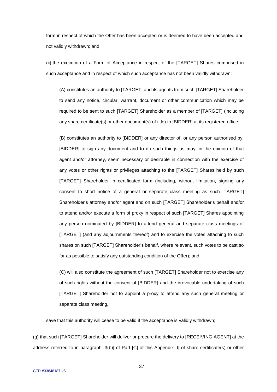form in respect of which the Offer has been accepted or is deemed to have been accepted and not validly withdrawn; and

(ii) the execution of a Form of Acceptance in respect of the [TARGET] Shares comprised in such acceptance and in respect of which such acceptance has not been validly withdrawn:

(A) constitutes an authority to [TARGET] and its agents from such [TARGET] Shareholder to send any notice, circular, warrant, document or other communication which may be required to be sent to such [TARGET] Shareholder as a member of [TARGET] (including any share certificate(s) or other document(s) of title) to [BIDDER] at its registered office;

(B) constitutes an authority to [BIDDER] or any director of, or any person authorised by, [BIDDER] to sign any document and to do such things as may, in the opinion of that agent and/or attorney, seem necessary or desirable in connection with the exercise of any votes or other rights or privileges attaching to the [TARGET] Shares held by such [TARGET] Shareholder in certificated form (including, without limitation, signing any consent to short notice of a general or separate class meeting as such [TARGET] Shareholder's attorney and/or agent and on such [TARGET] Shareholder's behalf and/or to attend and/or execute a form of proxy in respect of such [TARGET] Shares appointing any person nominated by [BIDDER] to attend general and separate class meetings of [TARGET] (and any adjournments thereof) and to exercise the votes attaching to such shares on such [TARGET] Shareholder's behalf, where relevant, such votes to be cast so far as possible to satisfy any outstanding condition of the Offer); and

(C) will also constitute the agreement of such [TARGET] Shareholder not to exercise any of such rights without the consent of [BIDDER] and the irrevocable undertaking of such [TARGET] Shareholder not to appoint a proxy to attend any such general meeting or separate class meeting,

save that this authority will cease to be valid if the acceptance is validly withdrawn;

(g) that such [TARGET] Shareholder will deliver or procure the delivery to [RECEIVING AGENT] at the address referred to in paragraph [3(b)] of Part [C] of this Appendix [I] of share certificate(s) or other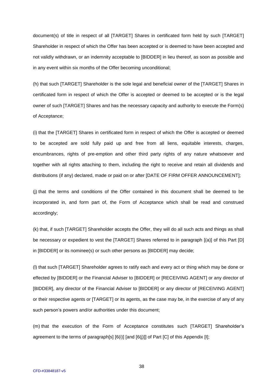document(s) of title in respect of all [TARGET] Shares in certificated form held by such [TARGET] Shareholder in respect of which the Offer has been accepted or is deemed to have been accepted and not validly withdrawn, or an indemnity acceptable to [BIDDER] in lieu thereof, as soon as possible and in any event within six months of the Offer becoming unconditional;

(h) that such [TARGET] Shareholder is the sole legal and beneficial owner of the [TARGET] Shares in certificated form in respect of which the Offer is accepted or deemed to be accepted or is the legal owner of such [TARGET] Shares and has the necessary capacity and authority to execute the Form(s) of Acceptance;

(i) that the [TARGET] Shares in certificated form in respect of which the Offer is accepted or deemed to be accepted are sold fully paid up and free from all liens, equitable interests, charges, encumbrances, rights of pre-emption and other third party rights of any nature whatsoever and together with all rights attaching to them, including the right to receive and retain all dividends and distributions (if any) declared, made or paid on or after [DATE OF FIRM OFFER ANNOUNCEMENT];

(j) that the terms and conditions of the Offer contained in this document shall be deemed to be incorporated in, and form part of, the Form of Acceptance which shall be read and construed accordingly;

(k) that, if such [TARGET] Shareholder accepts the Offer, they will do all such acts and things as shall be necessary or expedient to vest the [TARGET] Shares referred to in paragraph [(a)] of this Part [D] in [BIDDER] or its nominee(s) or such other persons as [BIDDER] may decide;

(l) that such [TARGET] Shareholder agrees to ratify each and every act or thing which may be done or effected by [BIDDER] or the Financial Adviser to [BIDDER] or [RECEIVING AGENT] or any director of [BIDDER], any director of the Financial Adviser to [BIDDER] or any director of [RECEIVING AGENT] or their respective agents or [TARGET] or its agents, as the case may be, in the exercise of any of any such person's powers and/or authorities under this document;

(m) that the execution of the Form of Acceptance constitutes such [TARGET] Shareholder's agreement to the terms of paragraph[s]  $[6(i)]$  [and  $[6(j)]$ ] of Part  $[C]$  of this Appendix [I];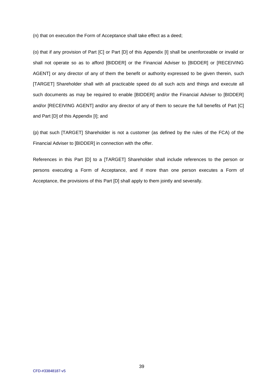(n) that on execution the Form of Acceptance shall take effect as a deed;

(o) that if any provision of Part [C] or Part [D] of this Appendix [I] shall be unenforceable or invalid or shall not operate so as to afford [BIDDER] or the Financial Adviser to [BIDDER] or [RECEIVING AGENT] or any director of any of them the benefit or authority expressed to be given therein, such [TARGET] Shareholder shall with all practicable speed do all such acts and things and execute all such documents as may be required to enable [BIDDER] and/or the Financial Adviser to [BIDDER] and/or [RECEIVING AGENT] and/or any director of any of them to secure the full benefits of Part [C] and Part [D] of this Appendix [I]; and

(p) that such [TARGET] Shareholder is not a customer (as defined by the rules of the FCA) of the Financial Adviser to [BIDDER] in connection with the offer.

References in this Part [D] to a [TARGET] Shareholder shall include references to the person or persons executing a Form of Acceptance, and if more than one person executes a Form of Acceptance, the provisions of this Part [D] shall apply to them jointly and severally.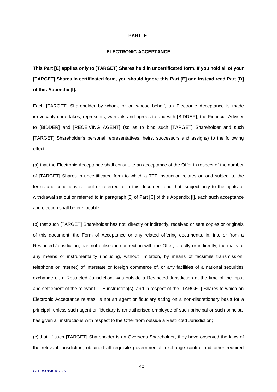#### **PART [E]**

# **ELECTRONIC ACCEPTANCE**

**This Part [E] applies only to [TARGET] Shares held in uncertificated form. If you hold all of your [TARGET] Shares in certificated form, you should ignore this Part [E] and instead read Part [D] of this Appendix [I].**

Each [TARGET] Shareholder by whom, or on whose behalf, an Electronic Acceptance is made irrevocably undertakes, represents, warrants and agrees to and with [BIDDER], the Financial Adviser to [BIDDER] and [RECEIVING AGENT] (so as to bind such [TARGET] Shareholder and such [TARGET] Shareholder's personal representatives, heirs, successors and assigns) to the following effect:

(a) that the Electronic Acceptance shall constitute an acceptance of the Offer in respect of the number of [TARGET] Shares in uncertificated form to which a TTE instruction relates on and subject to the terms and conditions set out or referred to in this document and that, subject only to the rights of withdrawal set out or referred to in paragraph [3] of Part [C] of this Appendix [I], each such acceptance and election shall be irrevocable;

(b) that such [TARGET] Shareholder has not, directly or indirectly, received or sent copies or originals of this document, the Form of Acceptance or any related offering documents, in, into or from a Restricted Jurisdiction, has not utilised in connection with the Offer, directly or indirectly, the mails or any means or instrumentality (including, without limitation, by means of facsimile transmission, telephone or internet) of interstate or foreign commerce of, or any facilities of a national securities exchange of, a Restricted Jurisdiction, was outside a Restricted Jurisdiction at the time of the input and settlement of the relevant TTE instruction(s), and in respect of the [TARGET] Shares to which an Electronic Acceptance relates, is not an agent or fiduciary acting on a non-discretionary basis for a principal, unless such agent or fiduciary is an authorised employee of such principal or such principal has given all instructions with respect to the Offer from outside a Restricted Jurisdiction;

(c) that, if such [TARGET] Shareholder is an Overseas Shareholder, they have observed the laws of the relevant jurisdiction, obtained all requisite governmental, exchange control and other required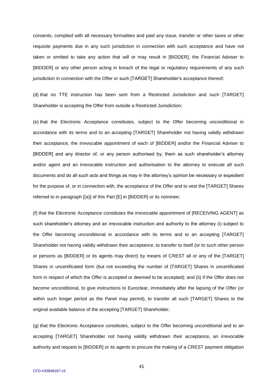consents, complied with all necessary formalities and paid any issue, transfer or other taxes or other requisite payments due in any such jurisdiction in connection with such acceptance and have not taken or omitted to take any action that will or may result in [BIDDER], the Financial Adviser to [BIDDER] or any other person acting in breach of the legal or regulatory requirements of any such jurisdiction in connection with the Offer or such [TARGET] Shareholder's acceptance thereof;

(d) that no TTE instruction has been sent from a Restricted Jurisdiction and such [TARGET] Shareholder is accepting the Offer from outside a Restricted Jurisdiction;

(e) that the Electronic Acceptance constitutes, subject to the Offer becoming unconditional in accordance with its terms and to an accepting [TARGET] Shareholder not having validly withdrawn their acceptance, the irrevocable appointment of each of [BIDDER] and/or the Financial Adviser to [BIDDER] and any director of, or any person authorised by, them as such shareholder's attorney and/or agent and an irrevocable instruction and authorisation to the attorney to execute all such documents and do all such acts and things as may in the attorney's opinion be necessary or expedient for the purpose of, or in connection with, the acceptance of the Offer and to vest the [TARGET] Shares referred to in paragraph [(a)] of this Part [E] in [BIDDER] or its nominee;

(f) that the Electronic Acceptance constitutes the irrevocable appointment of [RECEIVING AGENT] as such shareholder's attorney and an irrevocable instruction and authority to the attorney (i) subject to the Offer becoming unconditional in accordance with its terms and to an accepting [TARGET] Shareholder not having validly withdrawn their acceptance, to transfer to itself (or to such other person or persons as [BIDDER] or its agents may direct) by means of CREST all or any of the [TARGET] Shares in uncertificated form (but not exceeding the number of [TARGET] Shares in uncertificated form in respect of which the Offer is accepted or deemed to be accepted); and (ii) if the Offer does not become unconditional, to give instructions to Euroclear, immediately after the lapsing of the Offer (or within such longer period as the Panel may permit), to transfer all such [TARGET] Shares to the original available balance of the accepting [TARGET] Shareholder;

(g) that the Electronic Acceptance constitutes, subject to the Offer becoming unconditional and to an accepting [TARGET] Shareholder not having validly withdrawn their acceptance, an irrevocable authority and request to [BIDDER] or its agents to procure the making of a CREST payment obligation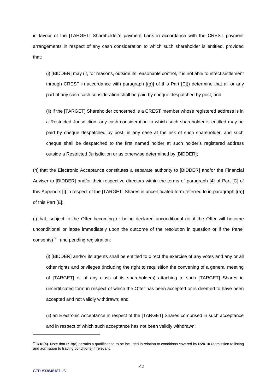in favour of the [TARGET] Shareholder's payment bank in accordance with the CREST payment arrangements in respect of any cash consideration to which such shareholder is entitled, provided that:

(i) [BIDDER] may (if, for reasons, outside its reasonable control, it is not able to effect settlement through CREST in accordance with paragraph  $[(g)]$  of this Part  $[E]$ ) determine that all or any part of any such cash consideration shall be paid by cheque despatched by post; and

(ii) if the [TARGET] Shareholder concerned is a CREST member whose registered address is in a Restricted Jurisdiction, any cash consideration to which such shareholder is entitled may be paid by cheque despatched by post, in any case at the risk of such shareholder, and such cheque shall be despatched to the first named holder at such holder's registered address outside a Restricted Jurisdiction or as otherwise determined by [BIDDER];

(h) that the Electronic Acceptance constitutes a separate authority to [BIDDER] and/or the Financial Adviser to [BIDDER] and/or their respective directors within the terms of paragraph [4] of Part [C] of this Appendix [I] in respect of the [TARGET] Shares in uncertificated form referred to in paragraph [(a)] of this Part [E];

(i) that, subject to the Offer becoming or being declared unconditional (or if the Offer will become unconditional or lapse immediately upon the outcome of the resolution in question or if the Panel consents)<sup>56</sup> and pending registration:

(i) [BIDDER] and/or its agents shall be entitled to direct the exercise of any votes and any or all other rights and privileges (including the right to requisition the convening of a general meeting of [TARGET] or of any class of its shareholders) attaching to such [TARGET] Shares in uncertificated form in respect of which the Offer has been accepted or is deemed to have been accepted and not validly withdrawn; and

(ii) an Electronic Acceptance in respect of the [TARGET] Shares comprised in such acceptance and in respect of which such acceptance has not been validly withdrawn:

<sup>56</sup> **R18(a)**. Note that R18(a) permits a qualification to be included in relation to conditions covered by **R24.10** (admission to listing and admission to trading conditions) if relevant.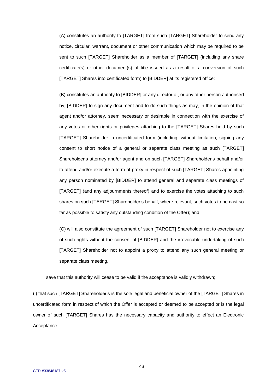(A) constitutes an authority to [TARGET] from such [TARGET] Shareholder to send any notice, circular, warrant, document or other communication which may be required to be sent to such [TARGET] Shareholder as a member of [TARGET] (including any share certificate(s) or other document(s) of title issued as a result of a conversion of such [TARGET] Shares into certificated form) to [BIDDER] at its registered office;

(B) constitutes an authority to [BIDDER] or any director of, or any other person authorised by, [BIDDER] to sign any document and to do such things as may, in the opinion of that agent and/or attorney, seem necessary or desirable in connection with the exercise of any votes or other rights or privileges attaching to the [TARGET] Shares held by such [TARGET] Shareholder in uncertificated form (including, without limitation, signing any consent to short notice of a general or separate class meeting as such [TARGET] Shareholder's attorney and/or agent and on such [TARGET] Shareholder's behalf and/or to attend and/or execute a form of proxy in respect of such [TARGET] Shares appointing any person nominated by [BIDDER] to attend general and separate class meetings of [TARGET] (and any adjournments thereof) and to exercise the votes attaching to such shares on such [TARGET] Shareholder's behalf, where relevant, such votes to be cast so far as possible to satisfy any outstanding condition of the Offer); and

(C) will also constitute the agreement of such [TARGET] Shareholder not to exercise any of such rights without the consent of [BIDDER] and the irrevocable undertaking of such [TARGET] Shareholder not to appoint a proxy to attend any such general meeting or separate class meeting,

save that this authority will cease to be valid if the acceptance is validly withdrawn;

(j) that such [TARGET] Shareholder's is the sole legal and beneficial owner of the [TARGET] Shares in uncertificated form in respect of which the Offer is accepted or deemed to be accepted or is the legal owner of such [TARGET] Shares has the necessary capacity and authority to effect an Electronic Acceptance;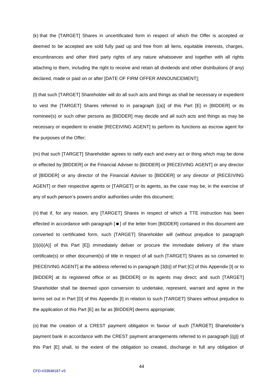(k) that the [TARGET] Shares in uncertificated form in respect of which the Offer is accepted or deemed to be accepted are sold fully paid up and free from all liens, equitable interests, charges, encumbrances and other third party rights of any nature whatsoever and together with all rights attaching to them, including the right to receive and retain all dividends and other distributions (if any) declared, made or paid on or after [DATE OF FIRM OFFER ANNOUNCEMENT];

(l) that such [TARGET] Shareholder will do all such acts and things as shall be necessary or expedient to vest the [TARGET] Shares referred to in paragraph [(a)] of this Part [E] in [BIDDER] or its nominee(s) or such other persons as [BIDDER] may decide and all such acts and things as may be necessary or expedient to enable [RECEIVING AGENT] to perform its functions as escrow agent for the purposes of the Offer;

(m) that such [TARGET] Shareholder agrees to ratify each and every act or thing which may be done or effected by [BIDDER] or the Financial Adviser to [BIDDER] or [RECEIVING AGENT] or any director of [BIDDER] or any director of the Financial Adviser to [BIDDER] or any director of [RECEIVING AGENT] or their respective agents or [TARGET] or its agents, as the case may be, in the exercise of any of such person's powers and/or authorities under this document;

(n) that if, for any reason, any [TARGET] Shares in respect of which a TTE instruction has been effected in accordance with paragraph  $[**•**]$  of the letter from  $[**BIDDER**]$  contained in this document are converted to certificated form, such [TARGET] Shareholder will (without prejudice to paragraph [(i)(ii)(A)] of this Part [E]) immediately deliver or procure the immediate delivery of the share certificate(s) or other document(s) of title in respect of all such [TARGET] Shares as so converted to [RECEIVING AGENT] at the address referred to in paragraph [3(b)] of Part [C] of this Appendix [I] or to [BIDDER] at its registered office or as [BIDDER] or its agents may direct; and such [TARGET] Shareholder shall be deemed upon conversion to undertake, represent, warrant and agree in the terms set out in Part [D] of this Appendix [I] in relation to such [TARGET] Shares without prejudice to the application of this Part [E] as far as [BIDDER] deems appropriate;

(o) that the creation of a CREST payment obligation in favour of such [TARGET] Shareholder's payment bank in accordance with the CREST payment arrangements referred to in paragraph [(g)] of this Part [E] shall, to the extent of the obligation so created, discharge in full any obligation of